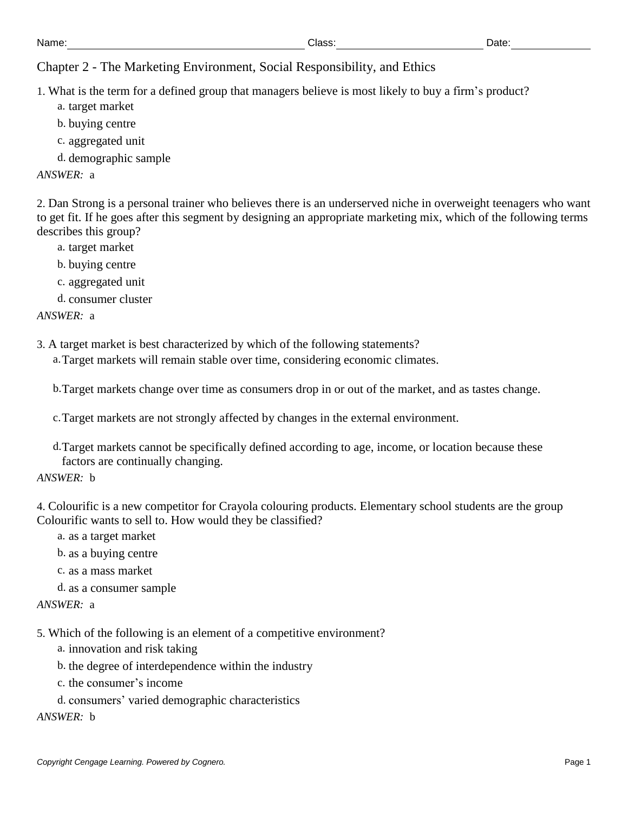1. What is the term for a defined group that managers believe is most likely to buy a firm's product?

- a. target market
- b. buying centre
- c. aggregated unit

d. demographic sample

## *ANSWER:* a

2. Dan Strong is a personal trainer who believes there is an underserved niche in overweight teenagers who want to get fit. If he goes after this segment by designing an appropriate marketing mix, which of the following terms describes this group?

- a. target market
- b. buying centre
- c. aggregated unit
- d. consumer cluster

## *ANSWER:* a

3. A target market is best characterized by which of the following statements?

a.Target markets will remain stable over time, considering economic climates.

b.Target markets change over time as consumers drop in or out of the market, and as tastes change.

c.Target markets are not strongly affected by changes in the external environment.

d.Target markets cannot be specifically defined according to age, income, or location because these factors are continually changing.

## *ANSWER:* b

4. Colourific is a new competitor for Crayola colouring products. Elementary school students are the group Colourific wants to sell to. How would they be classified?

a. as a target market

b. as a buying centre

- c. as a mass market
- d. as a consumer sample

# *ANSWER:* a

5. Which of the following is an element of a competitive environment?

- a. innovation and risk taking
- b. the degree of interdependence within the industry
- c. the consumer's income
- d. consumers' varied demographic characteristics

*ANSWER:* b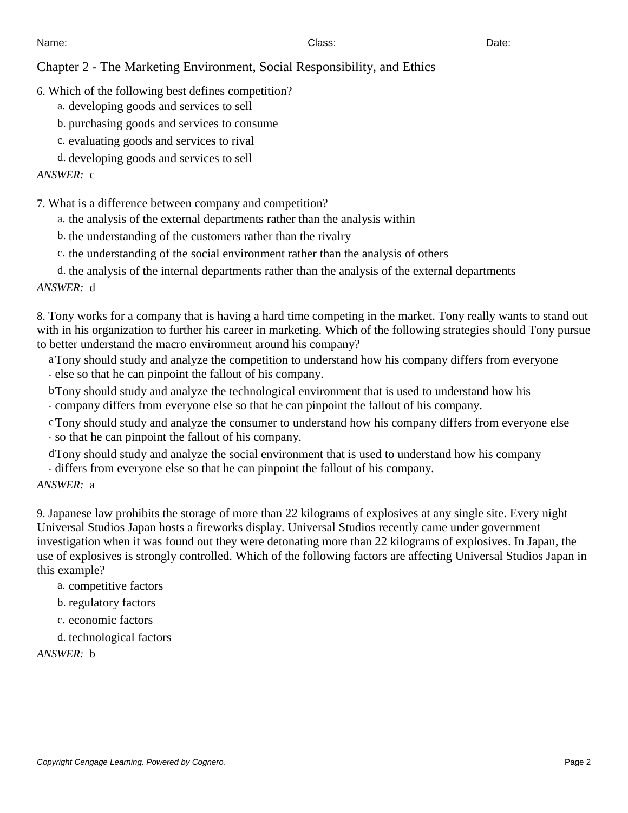6. Which of the following best defines competition?

- a. developing goods and services to sell
- b. purchasing goods and services to consume
- c. evaluating goods and services to rival
- d. developing goods and services to sell

## *ANSWER:* c

7. What is a difference between company and competition?

- a. the analysis of the external departments rather than the analysis within
- b. the understanding of the customers rather than the rivalry
- c. the understanding of the social environment rather than the analysis of others

d. the analysis of the internal departments rather than the analysis of the external departments

*ANSWER:* d

8. Tony works for a company that is having a hard time competing in the market. Tony really wants to stand out with in his organization to further his career in marketing. Which of the following strategies should Tony pursue to better understand the macro environment around his company?

a Tony should study and analyze the competition to understand how his company differs from everyone . else so that he can pinpoint the fallout of his company.

- b Tony should study and analyze the technological environment that is used to understand how his . company differs from everyone else so that he can pinpoint the fallout of his company.
- c Tony should study and analyze the consumer to understand how his company differs from everyone else . so that he can pinpoint the fallout of his company.
- d Tony should study and analyze the social environment that is used to understand how his company
- . differs from everyone else so that he can pinpoint the fallout of his company.

## *ANSWER:* a

9. Japanese law prohibits the storage of more than 22 kilograms of explosives at any single site. Every night Universal Studios Japan hosts a fireworks display. Universal Studios recently came under government investigation when it was found out they were detonating more than 22 kilograms of explosives. In Japan, the use of explosives is strongly controlled. Which of the following factors are affecting Universal Studios Japan in this example?

- a. competitive factors
- b. regulatory factors
- c. economic factors
- d. technological factors

*ANSWER:* b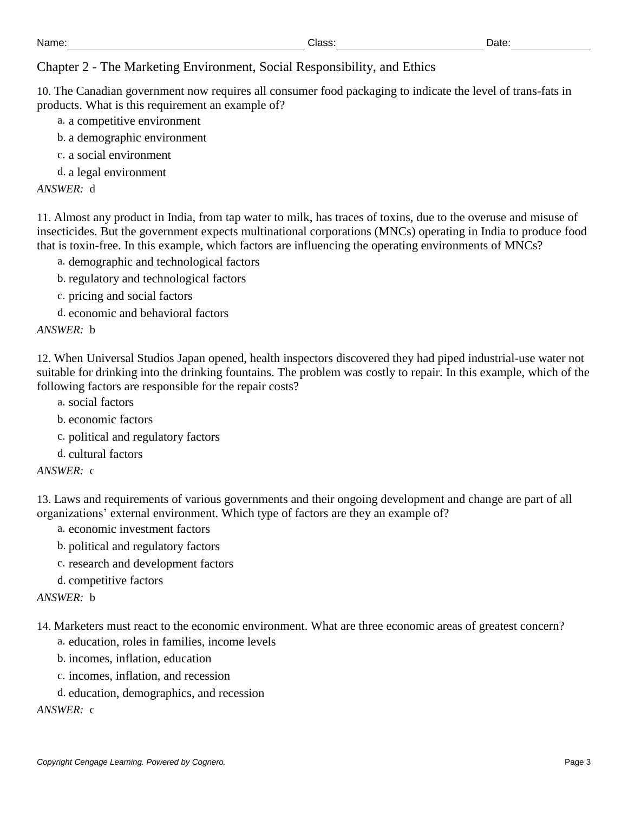| Name | ેlass. | ete. |
|------|--------|------|
|      |        |      |

10. The Canadian government now requires all consumer food packaging to indicate the level of trans-fats in products. What is this requirement an example of?

a. a competitive environment

b. a demographic environment

c. a social environment

d. a legal environment

## *ANSWER:* d

11. Almost any product in India, from tap water to milk, has traces of toxins, due to the overuse and misuse of insecticides. But the government expects multinational corporations (MNCs) operating in India to produce food that is toxin-free. In this example, which factors are influencing the operating environments of MNCs?

a. demographic and technological factors

b. regulatory and technological factors

c. pricing and social factors

d. economic and behavioral factors

## *ANSWER:* b

12. When Universal Studios Japan opened, health inspectors discovered they had piped industrial-use water not suitable for drinking into the drinking fountains. The problem was costly to repair. In this example, which of the following factors are responsible for the repair costs?

a. social factors

b. economic factors

c. political and regulatory factors

d. cultural factors

*ANSWER:* c

13. Laws and requirements of various governments and their ongoing development and change are part of all organizations' external environment. Which type of factors are they an example of?

a. economic investment factors

b. political and regulatory factors

c. research and development factors

d. competitive factors

*ANSWER:* b

14. Marketers must react to the economic environment. What are three economic areas of greatest concern?

a. education, roles in families, income levels

b. incomes, inflation, education

c. incomes, inflation, and recession

d. education, demographics, and recession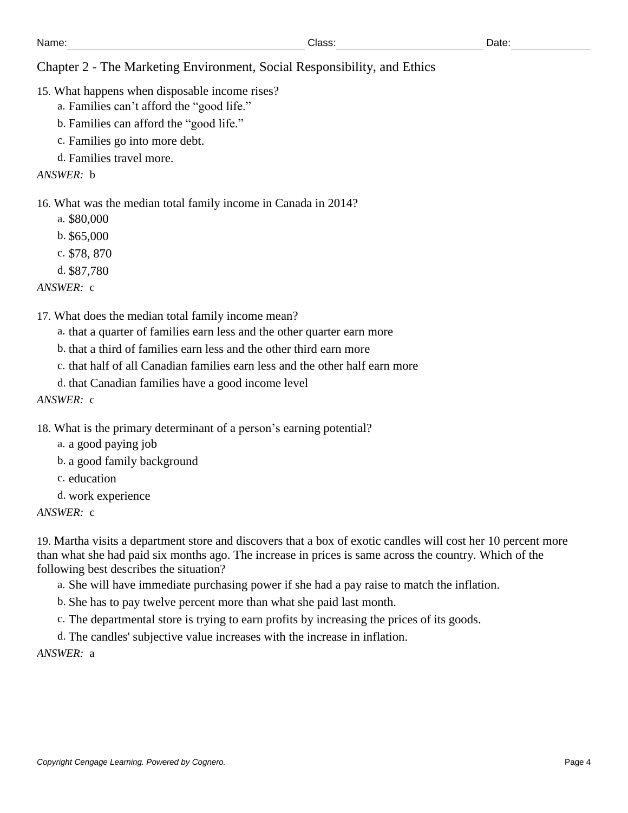- 15. What happens when disposable income rises?
	- a. Families can't afford the "good life."
	- b. Families can afford the "good life."
	- c. Families go into more debt.
	- d. Families travel more.

## *ANSWER:* b

16. What was the median total family income in Canada in 2014?

- a. \$80,000
- b. \$65,000
- c. \$78, 870
- d. \$87,780

*ANSWER:* c

- 17. What does the median total family income mean?
	- a. that a quarter of families earn less and the other quarter earn more
	- b. that a third of families earn less and the other third earn more
	- c. that half of all Canadian families earn less and the other half earn more
	- d. that Canadian families have a good income level

*ANSWER:* c

18. What is the primary determinant of a person's earning potential?

- a. a good paying job
- b. a good family background
- c. education
- d. work experience

## *ANSWER:* c

19. Martha visits a department store and discovers that a box of exotic candles will cost her 10 percent more than what she had paid six months ago. The increase in prices is same across the country. Which of the following best describes the situation?

- a. She will have immediate purchasing power if she had a pay raise to match the inflation.
- b. She has to pay twelve percent more than what she paid last month.
- c. The departmental store is trying to earn profits by increasing the prices of its goods.
- d. The candles' subjective value increases with the increase in inflation.

*ANSWER:* a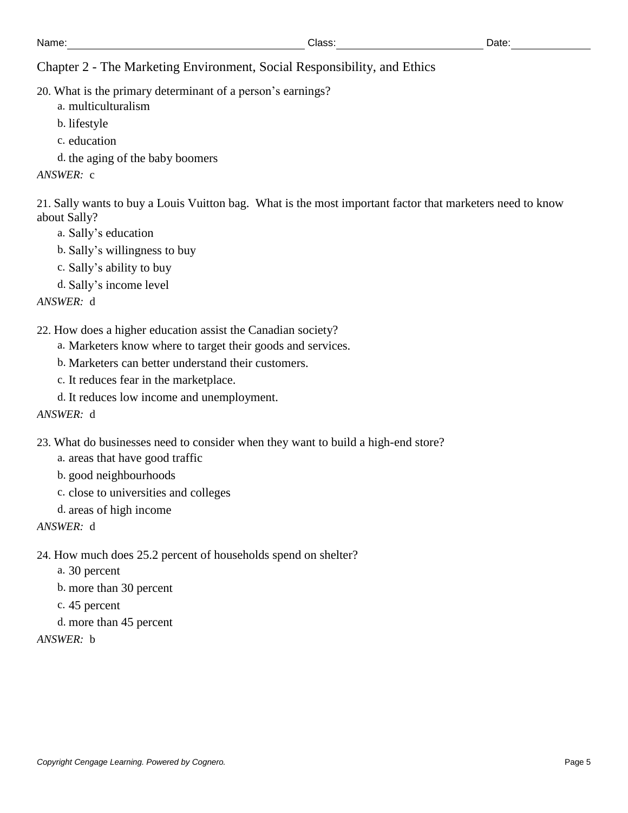- 20. What is the primary determinant of a person's earnings?
	- a. multiculturalism
	- b. lifestyle
	- c. education
	- d. the aging of the baby boomers

## *ANSWER:* c

21. Sally wants to buy a Louis Vuitton bag. What is the most important factor that marketers need to know about Sally?

- a. Sally's education
- b. Sally's willingness to buy
- c. Sally's ability to buy
- d. Sally's income level

## *ANSWER:* d

- 22. How does a higher education assist the Canadian society?
	- a. Marketers know where to target their goods and services.
	- b. Marketers can better understand their customers.
	- c. It reduces fear in the marketplace.
	- d. It reduces low income and unemployment.

## *ANSWER:* d

- 23. What do businesses need to consider when they want to build a high-end store?
	- a. areas that have good traffic
	- b. good neighbourhoods
	- c. close to universities and colleges
	- d. areas of high income

*ANSWER:* d

24. How much does 25.2 percent of households spend on shelter?

- a. 30 percent
- b. more than 30 percent
- c. 45 percent

d. more than 45 percent

*ANSWER:* b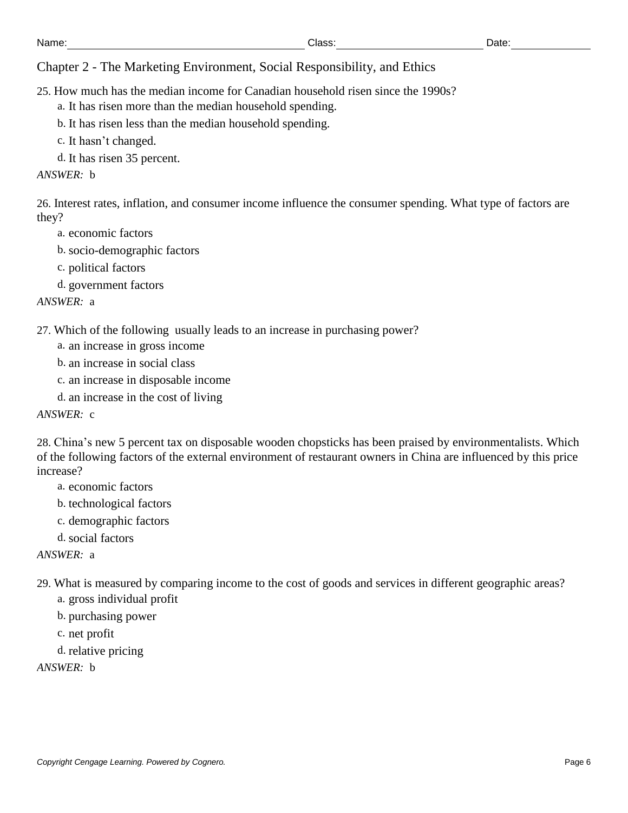25. How much has the median income for Canadian household risen since the 1990s?

a. It has risen more than the median household spending.

b. It has risen less than the median household spending.

c. It hasn't changed.

d. It has risen 35 percent.

*ANSWER:* b

26. Interest rates, inflation, and consumer income influence the consumer spending. What type of factors are they?

a. economic factors

b. socio-demographic factors

c. political factors

d. government factors

*ANSWER:* a

27. Which of the following usually leads to an increase in purchasing power?

a. an increase in gross income

b. an increase in social class

c. an increase in disposable income

d. an increase in the cost of living

*ANSWER:* c

28. China's new 5 percent tax on disposable wooden chopsticks has been praised by environmentalists. Which of the following factors of the external environment of restaurant owners in China are influenced by this price increase?

- a. economic factors
- b. technological factors
- c. demographic factors

d. social factors

*ANSWER:* a

29. What is measured by comparing income to the cost of goods and services in different geographic areas?

a. gross individual profit

b. purchasing power

c. net profit

d. relative pricing

*ANSWER:* b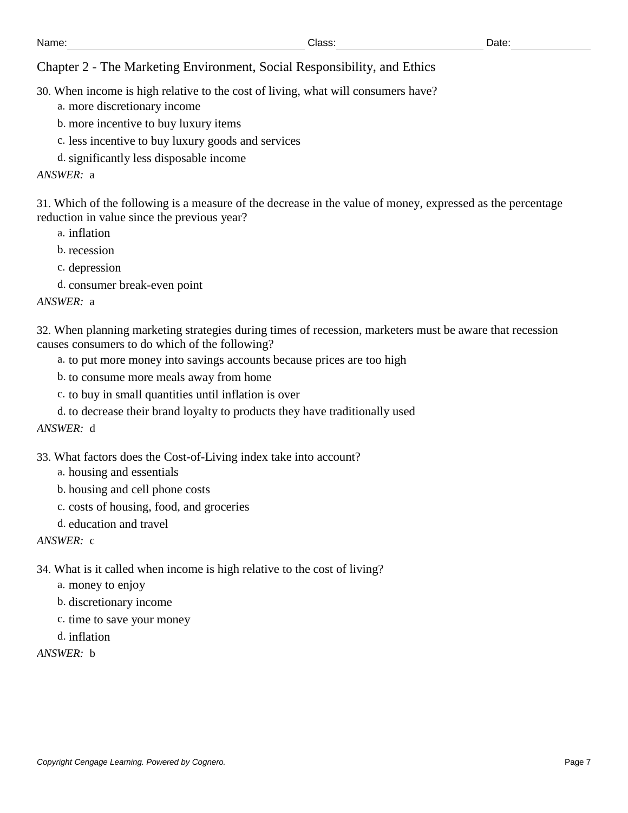30. When income is high relative to the cost of living, what will consumers have?

a. more discretionary income

b. more incentive to buy luxury items

c. less incentive to buy luxury goods and services

d. significantly less disposable income

## *ANSWER:* a

31. Which of the following is a measure of the decrease in the value of money, expressed as the percentage reduction in value since the previous year?

- a. inflation
- b. recession
- c. depression
- d. consumer break-even point

## *ANSWER:* a

32. When planning marketing strategies during times of recession, marketers must be aware that recession causes consumers to do which of the following?

- a. to put more money into savings accounts because prices are too high
- b. to consume more meals away from home
- c. to buy in small quantities until inflation is over
- d. to decrease their brand loyalty to products they have traditionally used

## *ANSWER:* d

33. What factors does the Cost-of-Living index take into account?

- a. housing and essentials
- b. housing and cell phone costs
- c. costs of housing, food, and groceries
- d. education and travel

- 34. What is it called when income is high relative to the cost of living?
	- a. money to enjoy
	- b. discretionary income
	- c. time to save your money
	- d. inflation
- *ANSWER:* b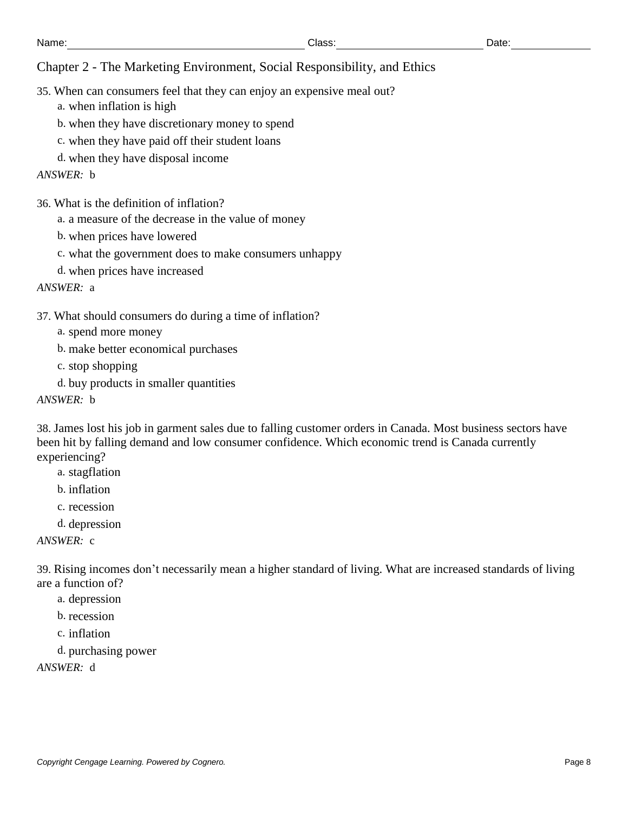- 35. When can consumers feel that they can enjoy an expensive meal out?
	- a. when inflation is high
	- b. when they have discretionary money to spend
	- c. when they have paid off their student loans
	- d. when they have disposal income

# *ANSWER:* b

- 36. What is the definition of inflation?
	- a. a measure of the decrease in the value of money
	- b. when prices have lowered
	- c. what the government does to make consumers unhappy
	- d. when prices have increased

# *ANSWER:* a

- 37. What should consumers do during a time of inflation?
	- a. spend more money
	- b. make better economical purchases
	- c. stop shopping
	- d. buy products in smaller quantities

## *ANSWER:* b

38. James lost his job in garment sales due to falling customer orders in Canada. Most business sectors have been hit by falling demand and low consumer confidence. Which economic trend is Canada currently experiencing?

- a. stagflation
- b. inflation
- c. recession
- d. depression

## *ANSWER:* c

39. Rising incomes don't necessarily mean a higher standard of living. What are increased standards of living are a function of?

- a. depression
- b. recession
- c. inflation
- d. purchasing power

```
ANSWER: d
```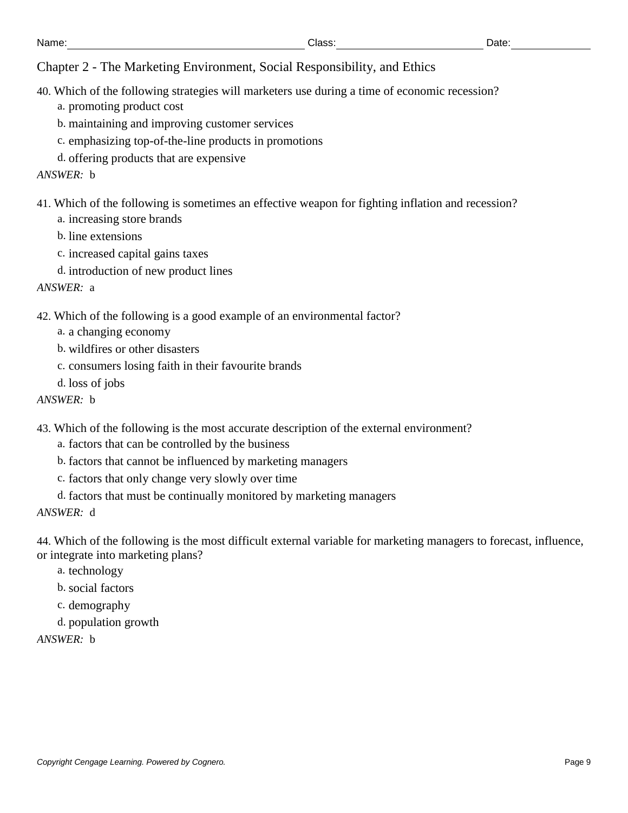- 40. Which of the following strategies will marketers use during a time of economic recession?
	- a. promoting product cost
	- b. maintaining and improving customer services
	- c. emphasizing top-of-the-line products in promotions
	- d. offering products that are expensive

## *ANSWER:* b

- 41. Which of the following is sometimes an effective weapon for fighting inflation and recession?
	- a. increasing store brands
	- b. line extensions
	- c. increased capital gains taxes
	- d. introduction of new product lines
- *ANSWER:* a
- 42. Which of the following is a good example of an environmental factor?
	- a. a changing economy
	- b. wildfires or other disasters
	- c. consumers losing faith in their favourite brands
	- d. loss of jobs
- *ANSWER:* b
- 43. Which of the following is the most accurate description of the external environment?
	- a. factors that can be controlled by the business
	- b. factors that cannot be influenced by marketing managers
	- c. factors that only change very slowly over time
	- d. factors that must be continually monitored by marketing managers

*ANSWER:* d

44. Which of the following is the most difficult external variable for marketing managers to forecast, influence, or integrate into marketing plans?

- a. technology
- b. social factors
- c. demography
- d. population growth
- *ANSWER:* b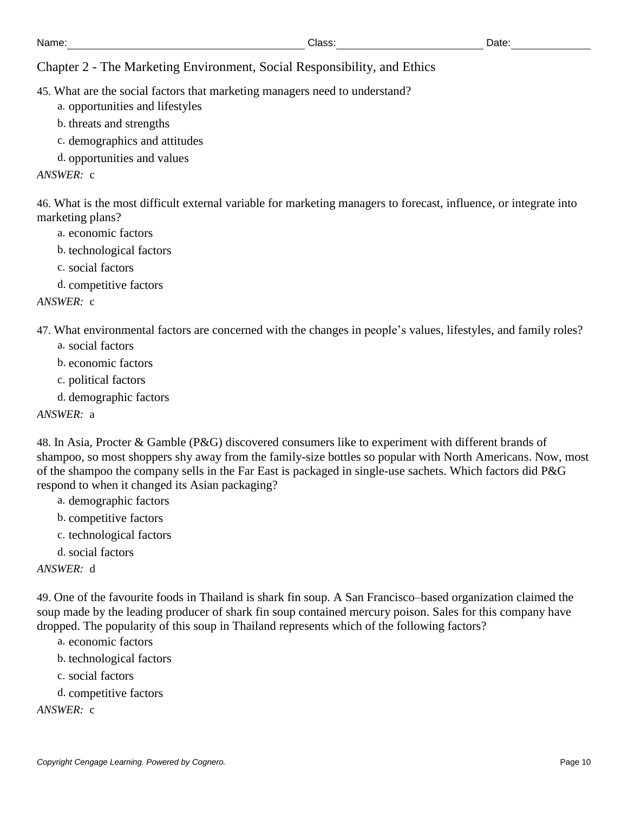- 45. What are the social factors that marketing managers need to understand?
	- a. opportunities and lifestyles
	- b. threats and strengths
	- c. demographics and attitudes
	- d. opportunities and values

## *ANSWER:* c

46. What is the most difficult external variable for marketing managers to forecast, influence, or integrate into marketing plans?

- a. economic factors
- b. technological factors
- c. social factors
- d. competitive factors

## *ANSWER:* c

- 47. What environmental factors are concerned with the changes in people's values, lifestyles, and family roles? a. social factors
	- b. economic factors
	- c. political factors
	- d. demographic factors

## *ANSWER:* a

48. In Asia, Procter & Gamble (P&G) discovered consumers like to experiment with different brands of shampoo, so most shoppers shy away from the family-size bottles so popular with North Americans. Now, most of the shampoo the company sells in the Far East is packaged in single-use sachets. Which factors did P&G respond to when it changed its Asian packaging?

- a. demographic factors
- b. competitive factors
- c. technological factors
- d. social factors

*ANSWER:* d

49. One of the favourite foods in Thailand is shark fin soup. A San Francisco–based organization claimed the soup made by the leading producer of shark fin soup contained mercury poison. Sales for this company have dropped. The popularity of this soup in Thailand represents which of the following factors?

- a. economic factors
- b. technological factors
- c. social factors
- d. competitive factors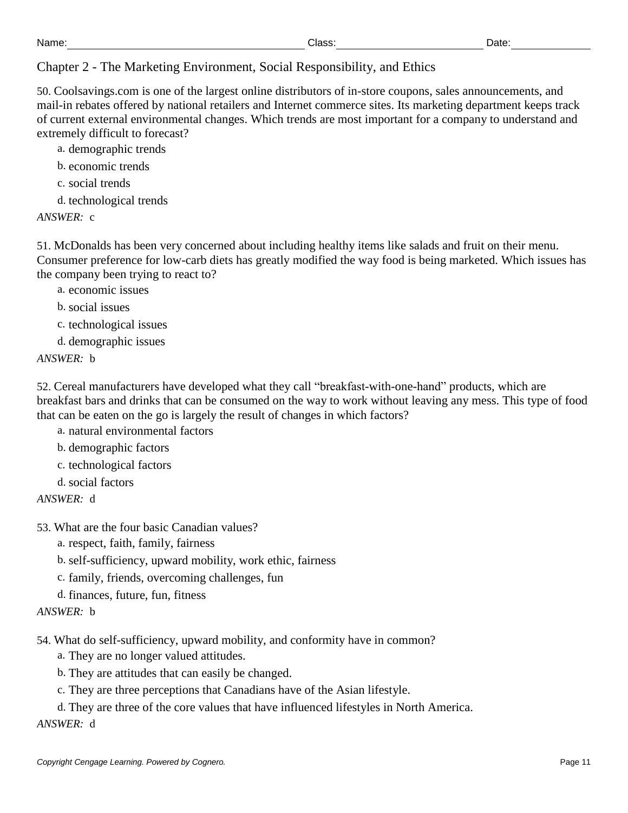| Name: | Class: | Date: |
|-------|--------|-------|

50. Coolsavings.com is one of the largest online distributors of in-store coupons, sales announcements, and mail-in rebates offered by national retailers and Internet commerce sites. Its marketing department keeps track of current external environmental changes. Which trends are most important for a company to understand and extremely difficult to forecast?

a. demographic trends

b. economic trends

c. social trends

d. technological trends

*ANSWER:* c

51. McDonalds has been very concerned about including healthy items like salads and fruit on their menu. Consumer preference for low-carb diets has greatly modified the way food is being marketed. Which issues has the company been trying to react to?

a. economic issues

b. social issues

c. technological issues

d. demographic issues

*ANSWER:* b

52. Cereal manufacturers have developed what they call "breakfast-with-one-hand" products, which are breakfast bars and drinks that can be consumed on the way to work without leaving any mess. This type of food that can be eaten on the go is largely the result of changes in which factors?

a. natural environmental factors

b. demographic factors

c. technological factors

d. social factors

*ANSWER:* d

- 53. What are the four basic Canadian values?
	- a. respect, faith, family, fairness
	- b. self-sufficiency, upward mobility, work ethic, fairness
	- c. family, friends, overcoming challenges, fun
	- d. finances, future, fun, fitness

## *ANSWER:* b

54. What do self-sufficiency, upward mobility, and conformity have in common?

a. They are no longer valued attitudes.

- b. They are attitudes that can easily be changed.
- c. They are three perceptions that Canadians have of the Asian lifestyle.

d. They are three of the core values that have influenced lifestyles in North America.

*ANSWER:* d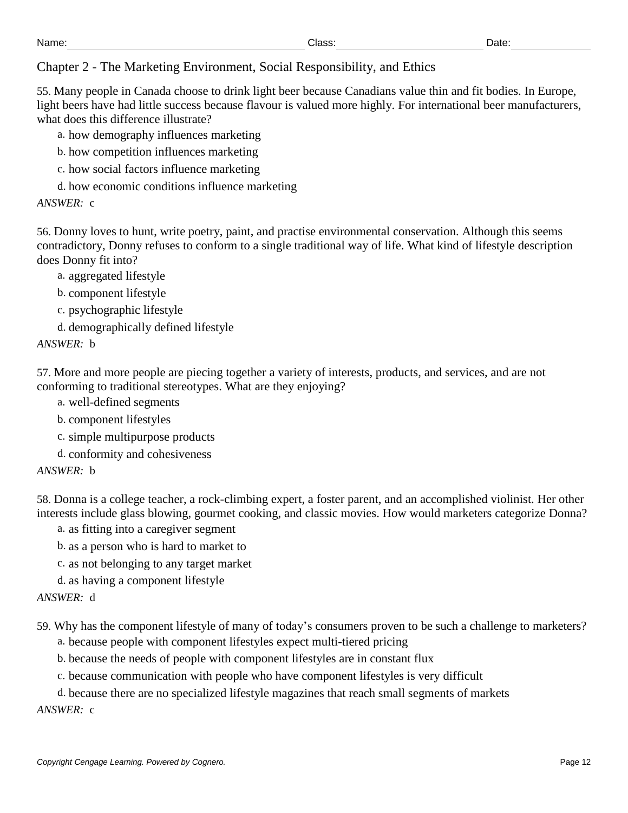| Name:<br>____ | Лass | гато<br>$  -$ |
|---------------|------|---------------|
|               |      |               |

55. Many people in Canada choose to drink light beer because Canadians value thin and fit bodies. In Europe, light beers have had little success because flavour is valued more highly. For international beer manufacturers, what does this difference illustrate?

a. how demography influences marketing

b. how competition influences marketing

c. how social factors influence marketing

d. how economic conditions influence marketing

*ANSWER:* c

56. Donny loves to hunt, write poetry, paint, and practise environmental conservation. Although this seems contradictory, Donny refuses to conform to a single traditional way of life. What kind of lifestyle description does Donny fit into?

a. aggregated lifestyle

b. component lifestyle

c. psychographic lifestyle

d. demographically defined lifestyle

*ANSWER:* b

57. More and more people are piecing together a variety of interests, products, and services, and are not conforming to traditional stereotypes. What are they enjoying?

a. well-defined segments

b. component lifestyles

c. simple multipurpose products

d. conformity and cohesiveness

*ANSWER:* b

58. Donna is a college teacher, a rock-climbing expert, a foster parent, and an accomplished violinist. Her other interests include glass blowing, gourmet cooking, and classic movies. How would marketers categorize Donna?

a. as fitting into a caregiver segment

b. as a person who is hard to market to

c. as not belonging to any target market

d. as having a component lifestyle

*ANSWER:* d

59. Why has the component lifestyle of many of today's consumers proven to be such a challenge to marketers?

a. because people with component lifestyles expect multi-tiered pricing

b. because the needs of people with component lifestyles are in constant flux

c. because communication with people who have component lifestyles is very difficult

d. because there are no specialized lifestyle magazines that reach small segments of markets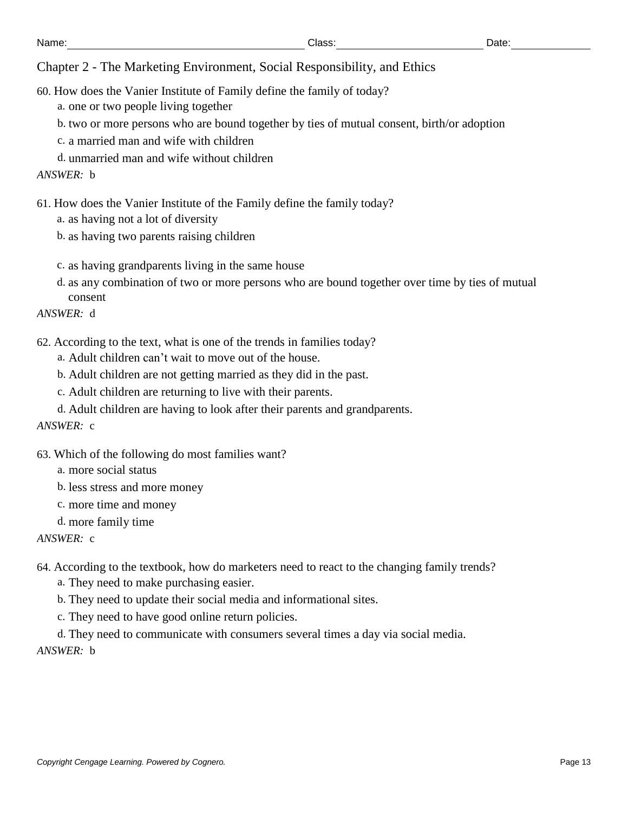60. How does the Vanier Institute of Family define the family of today?

- a. one or two people living together
- b. two or more persons who are bound together by ties of mutual consent, birth/or adoption
- c. a married man and wife with children
- d. unmarried man and wife without children

#### *ANSWER:* b

61. How does the Vanier Institute of the Family define the family today?

a. as having not a lot of diversity

b. as having two parents raising children

- c. as having grandparents living in the same house
- d. as any combination of two or more persons who are bound together over time by ties of mutual consent

*ANSWER:* d

- 62. According to the text, what is one of the trends in families today?
	- a. Adult children can't wait to move out of the house.
	- b. Adult children are not getting married as they did in the past.
	- c. Adult children are returning to live with their parents.
	- d. Adult children are having to look after their parents and grandparents.

## *ANSWER:* c

- 63. Which of the following do most families want?
	- a. more social status
	- b. less stress and more money
	- c. more time and money
	- d. more family time

- 64. According to the textbook, how do marketers need to react to the changing family trends?
	- a. They need to make purchasing easier.
	- b. They need to update their social media and informational sites.
	- c. They need to have good online return policies.
- d. They need to communicate with consumers several times a day via social media. *ANSWER:* b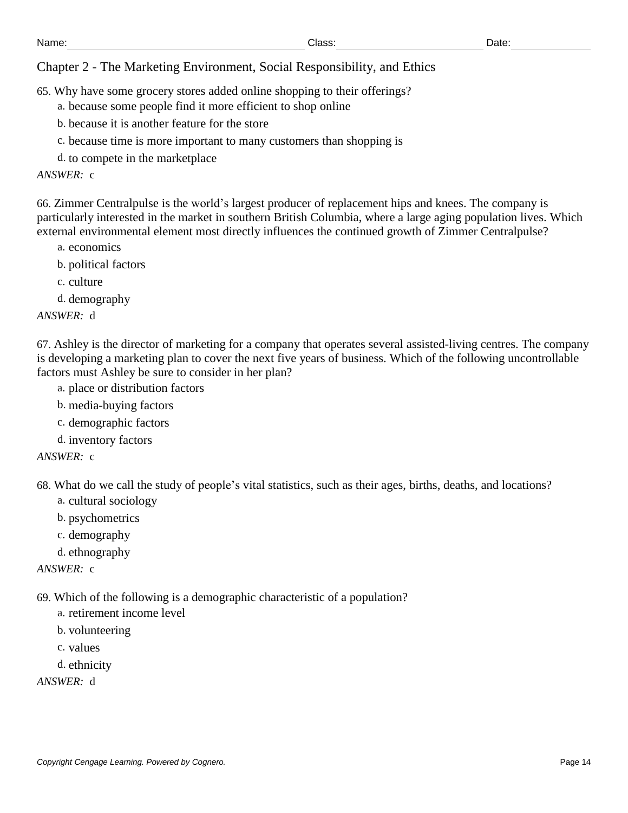65. Why have some grocery stores added online shopping to their offerings?

- a. because some people find it more efficient to shop online
- b. because it is another feature for the store
- c. because time is more important to many customers than shopping is
- d. to compete in the marketplace

# *ANSWER:* c

66. Zimmer Centralpulse is the world's largest producer of replacement hips and knees. The company is particularly interested in the market in southern British Columbia, where a large aging population lives. Which external environmental element most directly influences the continued growth of Zimmer Centralpulse?

- a. economics
- b. political factors
- c. culture
- d. demography

*ANSWER:* d

67. Ashley is the director of marketing for a company that operates several assisted-living centres. The company is developing a marketing plan to cover the next five years of business. Which of the following uncontrollable factors must Ashley be sure to consider in her plan?

- a. place or distribution factors
- b. media-buying factors
- c. demographic factors
- d. inventory factors

## *ANSWER:* c

68. What do we call the study of people's vital statistics, such as their ages, births, deaths, and locations?

- a. cultural sociology
- b. psychometrics
- c. demography
- d. ethnography

- 69. Which of the following is a demographic characteristic of a population?
	- a. retirement income level
	- b. volunteering
	- c. values
	- d. ethnicity
- *ANSWER:* d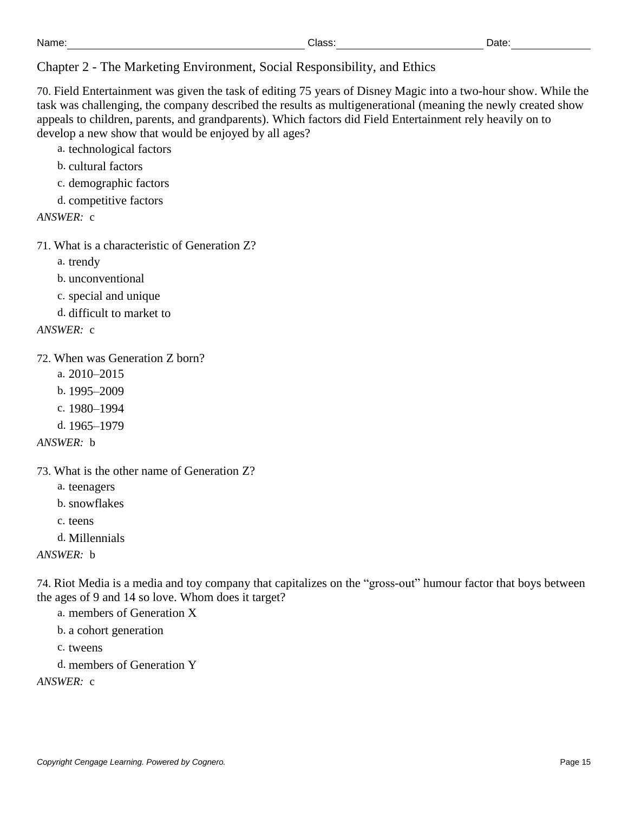70. Field Entertainment was given the task of editing 75 years of Disney Magic into a two-hour show. While the task was challenging, the company described the results as multigenerational (meaning the newly created show appeals to children, parents, and grandparents). Which factors did Field Entertainment rely heavily on to develop a new show that would be enjoyed by all ages?

a. technological factors

b. cultural factors

c. demographic factors

d. competitive factors

*ANSWER:* c

71. What is a characteristic of Generation Z?

a. trendy

b. unconventional

c. special and unique

d. difficult to market to

*ANSWER:* c

72. When was Generation Z born?

- a. 2010–2015
- b. 1995–2009
- c. 1980–1994
- d. 1965–1979

*ANSWER:* b

- 73. What is the other name of Generation Z?
	- a. teenagers
	- b. snowflakes
	- c. teens
	- d. Millennials

*ANSWER:* b

74. Riot Media is a media and toy company that capitalizes on the "gross-out" humour factor that boys between the ages of 9 and 14 so love. Whom does it target?

a. members of Generation X

b. a cohort generation

c. tweens

d. members of Generation Y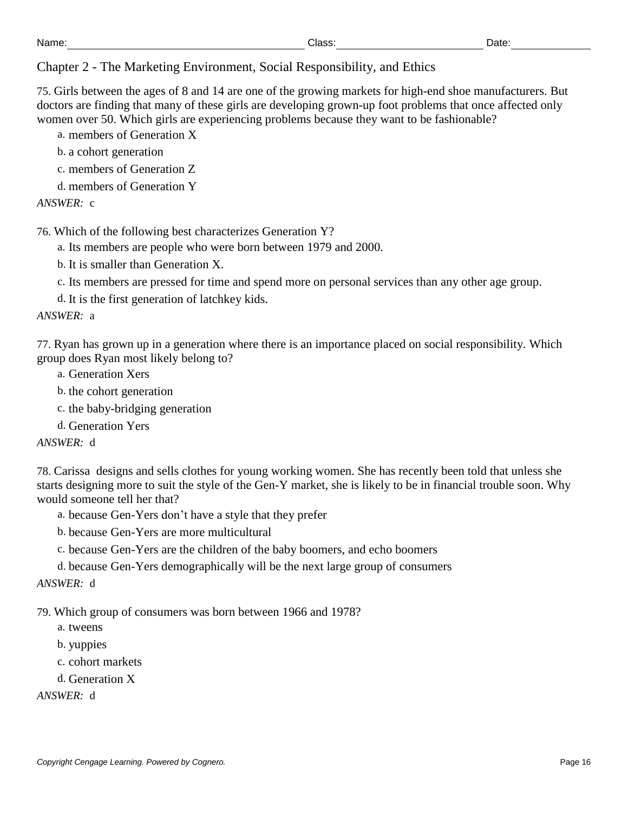| Name: | Class: | $\overline{\phantom{a}}$<br>Date: |
|-------|--------|-----------------------------------|
|       |        |                                   |

75. Girls between the ages of 8 and 14 are one of the growing markets for high-end shoe manufacturers. But doctors are finding that many of these girls are developing grown-up foot problems that once affected only women over 50. Which girls are experiencing problems because they want to be fashionable?

a. members of Generation X

b. a cohort generation

c. members of Generation Z

d. members of Generation Y

*ANSWER:* c

76. Which of the following best characterizes Generation Y?

a. Its members are people who were born between 1979 and 2000.

b. It is smaller than Generation X.

c. Its members are pressed for time and spend more on personal services than any other age group.

d. It is the first generation of latchkey kids.

*ANSWER:* a

77. Ryan has grown up in a generation where there is an importance placed on social responsibility. Which group does Ryan most likely belong to?

a. Generation Xers

b. the cohort generation

c. the baby-bridging generation

d. Generation Yers

*ANSWER:* d

78. Carissa designs and sells clothes for young working women. She has recently been told that unless she starts designing more to suit the style of the Gen-Y market, she is likely to be in financial trouble soon. Why would someone tell her that?

a. because Gen-Yers don't have a style that they prefer

b. because Gen-Yers are more multicultural

c. because Gen-Yers are the children of the baby boomers, and echo boomers

d. because Gen-Yers demographically will be the next large group of consumers

*ANSWER:* d

79. Which group of consumers was born between 1966 and 1978?

a. tweens

b. yuppies

c. cohort markets

d. Generation X

*ANSWER:* d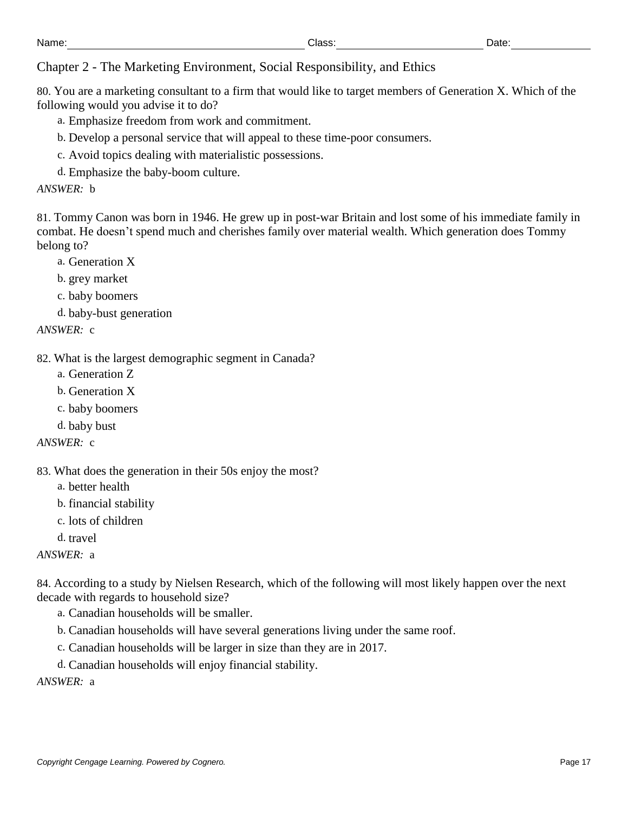| Name: | Jass | Jate |
|-------|------|------|
|       |      |      |

80. You are a marketing consultant to a firm that would like to target members of Generation X. Which of the following would you advise it to do?

- a. Emphasize freedom from work and commitment.
- b. Develop a personal service that will appeal to these time-poor consumers.
- c. Avoid topics dealing with materialistic possessions.
- d. Emphasize the baby-boom culture.

## *ANSWER:* b

81. Tommy Canon was born in 1946. He grew up in post-war Britain and lost some of his immediate family in combat. He doesn't spend much and cherishes family over material wealth. Which generation does Tommy belong to?

- a. Generation X
- b. grey market
- c. baby boomers
- d. baby-bust generation

*ANSWER:* c

- 82. What is the largest demographic segment in Canada?
	- a. Generation Z
	- b. Generation X
	- c. baby boomers
	- d. baby bust

## *ANSWER:* c

- 83. What does the generation in their 50s enjoy the most?
	- a. better health
	- b. financial stability
	- c. lots of children
	- d. travel

## *ANSWER:* a

84. According to a study by Nielsen Research, which of the following will most likely happen over the next decade with regards to household size?

- a. Canadian households will be smaller.
- b. Canadian households will have several generations living under the same roof.
- c. Canadian households will be larger in size than they are in 2017.
- d. Canadian households will enjoy financial stability.

*ANSWER:* a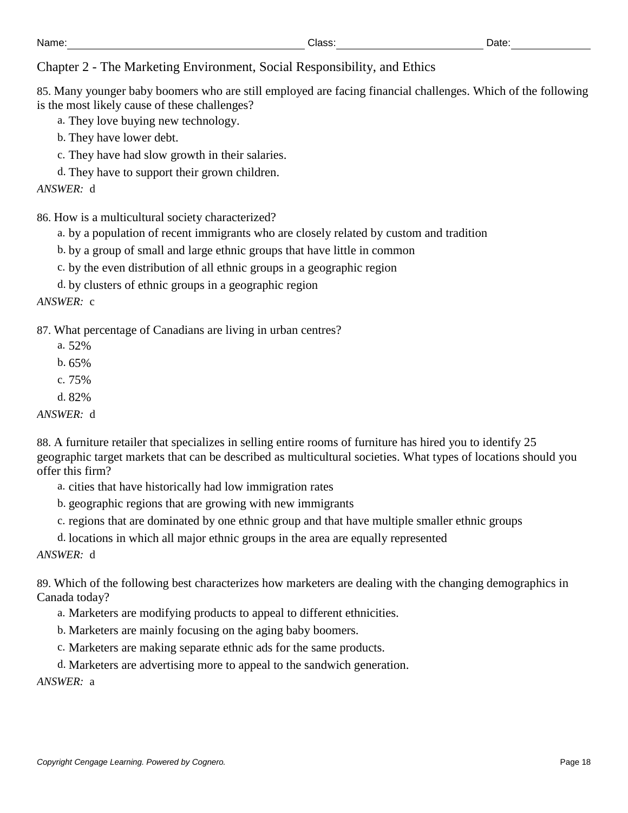| Name: | Class: ∶ | Date: |
|-------|----------|-------|
|       |          |       |

85. Many younger baby boomers who are still employed are facing financial challenges. Which of the following is the most likely cause of these challenges?

a. They love buying new technology.

b. They have lower debt.

- c. They have had slow growth in their salaries.
- d. They have to support their grown children.

## *ANSWER:* d

86. How is a multicultural society characterized?

a. by a population of recent immigrants who are closely related by custom and tradition

b. by a group of small and large ethnic groups that have little in common

c. by the even distribution of all ethnic groups in a geographic region

d. by clusters of ethnic groups in a geographic region

*ANSWER:* c

87. What percentage of Canadians are living in urban centres?

a. 52%

b. 65%

c. 75%

d. 82%

*ANSWER:* d

88. A furniture retailer that specializes in selling entire rooms of furniture has hired you to identify 25 geographic target markets that can be described as multicultural societies. What types of locations should you offer this firm?

a. cities that have historically had low immigration rates

b. geographic regions that are growing with new immigrants

c. regions that are dominated by one ethnic group and that have multiple smaller ethnic groups

d. locations in which all major ethnic groups in the area are equally represented

*ANSWER:* d

89. Which of the following best characterizes how marketers are dealing with the changing demographics in Canada today?

a. Marketers are modifying products to appeal to different ethnicities.

b. Marketers are mainly focusing on the aging baby boomers.

c. Marketers are making separate ethnic ads for the same products.

d. Marketers are advertising more to appeal to the sandwich generation.

*ANSWER:* a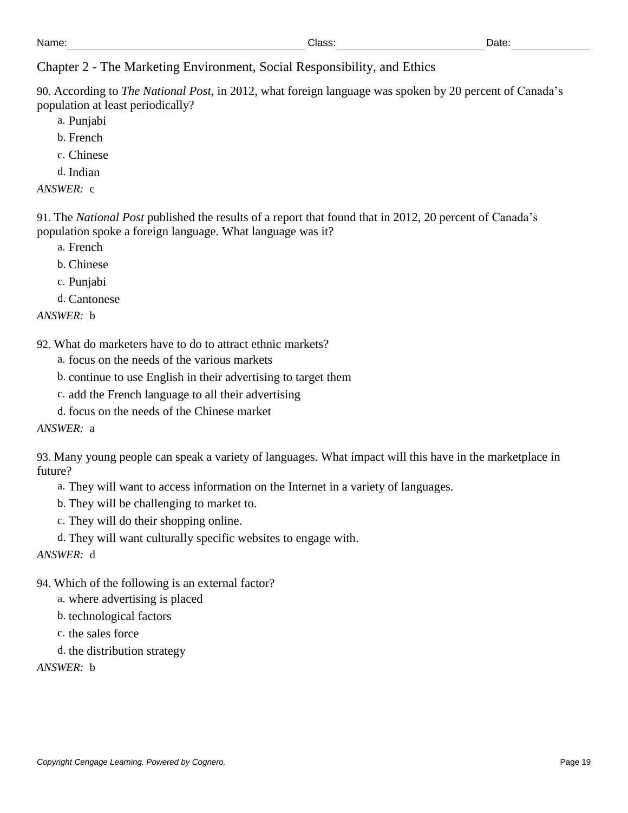| Name: | :lass | ``~<br>≀яте |
|-------|-------|-------------|
|       |       |             |

90. According to *The National Post,* in 2012, what foreign language was spoken by 20 percent of Canada's population at least periodically?

- a. Punjabi
- b. French
- c. Chinese
- d. Indian
- *ANSWER:* c

91. The *National Post* published the results of a report that found that in 2012, 20 percent of Canada's population spoke a foreign language. What language was it?

- a. French
- b. Chinese
- c. Punjabi
- d. Cantonese
- *ANSWER:* b
- 92. What do marketers have to do to attract ethnic markets?
	- a. focus on the needs of the various markets
	- b. continue to use English in their advertising to target them
	- c. add the French language to all their advertising
	- d. focus on the needs of the Chinese market

## *ANSWER:* a

93. Many young people can speak a variety of languages. What impact will this have in the marketplace in future?

a. They will want to access information on the Internet in a variety of languages.

- b. They will be challenging to market to.
- c. They will do their shopping online.
- d. They will want culturally specific websites to engage with.
- *ANSWER:* d
- 94. Which of the following is an external factor?
	- a. where advertising is placed
	- b. technological factors
	- c. the sales force
	- d. the distribution strategy
- *ANSWER:* b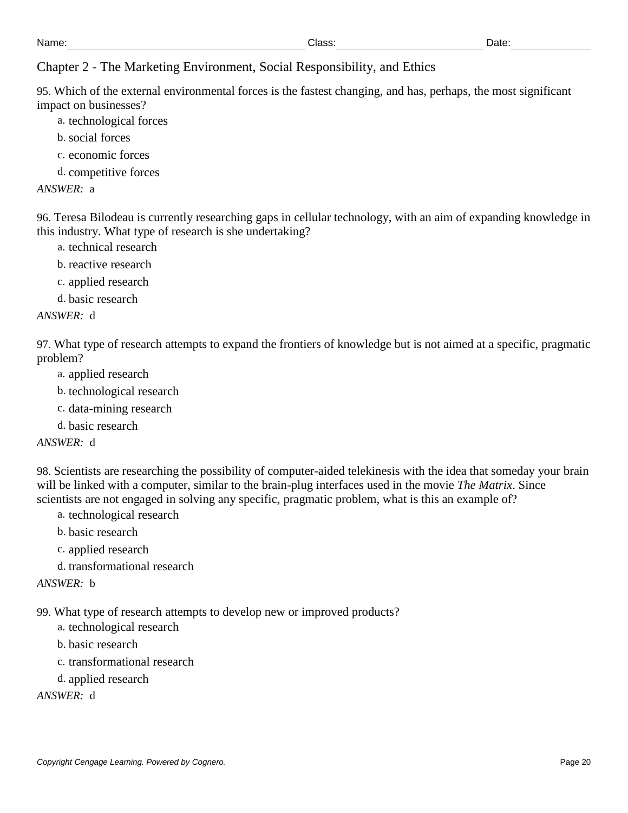95. Which of the external environmental forces is the fastest changing, and has, perhaps, the most significant impact on businesses?

- a. technological forces
- b. social forces
- c. economic forces
- d. competitive forces

# *ANSWER:* a

96. Teresa Bilodeau is currently researching gaps in cellular technology, with an aim of expanding knowledge in this industry. What type of research is she undertaking?

- a. technical research
- b. reactive research
- c. applied research
- d. basic research

*ANSWER:* d

97. What type of research attempts to expand the frontiers of knowledge but is not aimed at a specific, pragmatic problem?

- a. applied research
- b. technological research
- c. data-mining research
- d. basic research

# *ANSWER:* d

98. Scientists are researching the possibility of computer-aided telekinesis with the idea that someday your brain will be linked with a computer, similar to the brain-plug interfaces used in the movie *The Matrix*. Since scientists are not engaged in solving any specific, pragmatic problem, what is this an example of?

- a. technological research
- b. basic research
- c. applied research
- d. transformational research

*ANSWER:* b

- 99. What type of research attempts to develop new or improved products?
	- a. technological research
	- b. basic research
	- c. transformational research
	- d. applied research

*ANSWER:* d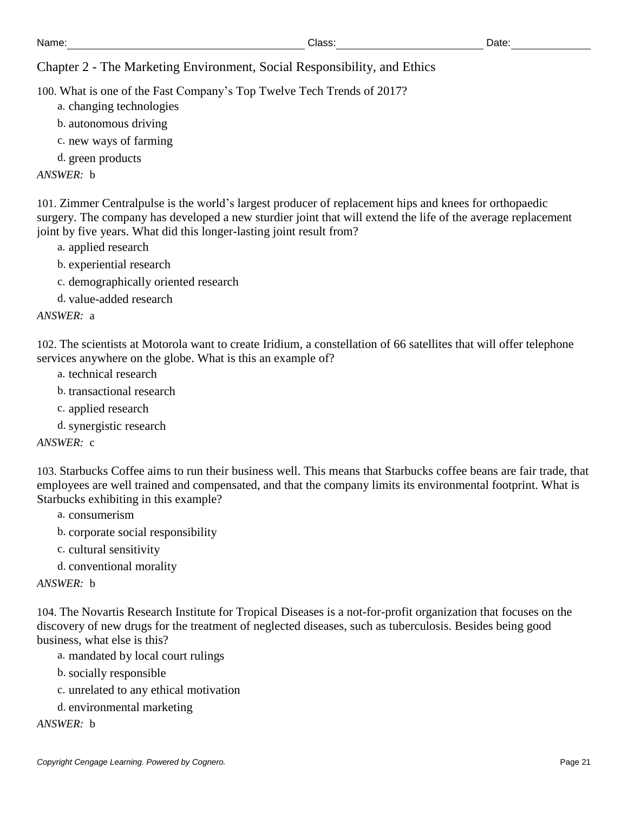b. autonomous driving

c. new ways of farming

d. green products

#### *ANSWER:* b

101. Zimmer Centralpulse is the world's largest producer of replacement hips and knees for orthopaedic surgery. The company has developed a new sturdier joint that will extend the life of the average replacement joint by five years. What did this longer-lasting joint result from?

a. applied research

b. experiential research

c. demographically oriented research

d. value-added research

*ANSWER:* a

102. The scientists at Motorola want to create Iridium, a constellation of 66 satellites that will offer telephone services anywhere on the globe. What is this an example of?

- a. technical research
- b. transactional research
- c. applied research
- d. synergistic research

#### *ANSWER:* c

103. Starbucks Coffee aims to run their business well. This means that Starbucks coffee beans are fair trade, that employees are well trained and compensated, and that the company limits its environmental footprint. What is Starbucks exhibiting in this example?

- a. consumerism
- b. corporate social responsibility
- c. cultural sensitivity
- d. conventional morality

#### *ANSWER:* b

104. The Novartis Research Institute for Tropical Diseases is a not-for-profit organization that focuses on the discovery of new drugs for the treatment of neglected diseases, such as tuberculosis. Besides being good business, what else is this?

- a. mandated by local court rulings
- b. socially responsible
- c. unrelated to any ethical motivation
- d. environmental marketing

#### *ANSWER:* b

Chapter 2 - The Marketing Environment, Social Responsibility, and Ethics

100. What is one of the Fast Company's Top Twelve Tech Trends of 2017?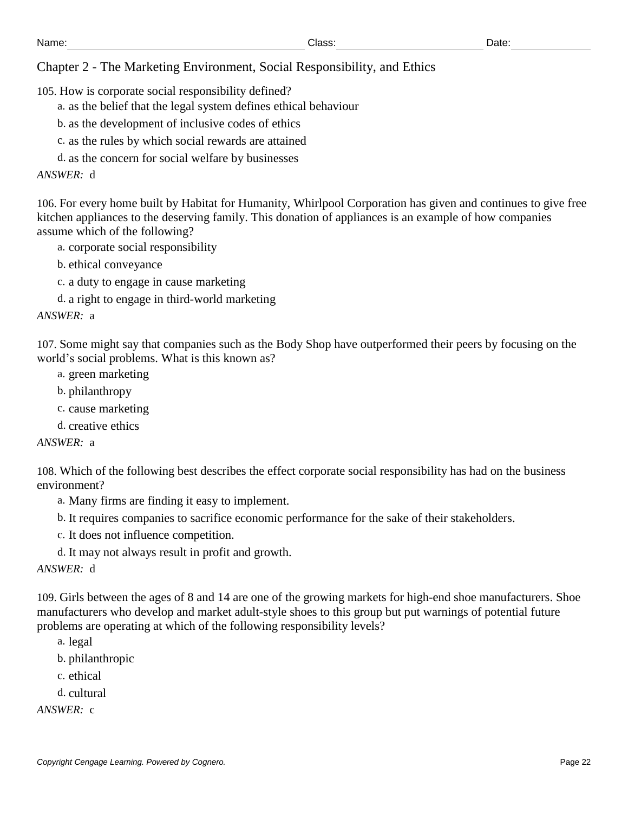105. How is corporate social responsibility defined?

a. as the belief that the legal system defines ethical behaviour

b. as the development of inclusive codes of ethics

c. as the rules by which social rewards are attained

d. as the concern for social welfare by businesses

*ANSWER:* d

106. For every home built by Habitat for Humanity, Whirlpool Corporation has given and continues to give free kitchen appliances to the deserving family. This donation of appliances is an example of how companies assume which of the following?

a. corporate social responsibility

b. ethical conveyance

c. a duty to engage in cause marketing

d. a right to engage in third-world marketing

*ANSWER:* a

107. Some might say that companies such as the Body Shop have outperformed their peers by focusing on the world's social problems. What is this known as?

a. green marketing

b. philanthropy

c. cause marketing

d. creative ethics

*ANSWER:* a

108. Which of the following best describes the effect corporate social responsibility has had on the business environment?

a. Many firms are finding it easy to implement.

b. It requires companies to sacrifice economic performance for the sake of their stakeholders.

c. It does not influence competition.

d. It may not always result in profit and growth.

*ANSWER:* d

109. Girls between the ages of 8 and 14 are one of the growing markets for high-end shoe manufacturers. Shoe manufacturers who develop and market adult-style shoes to this group but put warnings of potential future problems are operating at which of the following responsibility levels?

a. legal

b. philanthropic

c. ethical

d. cultural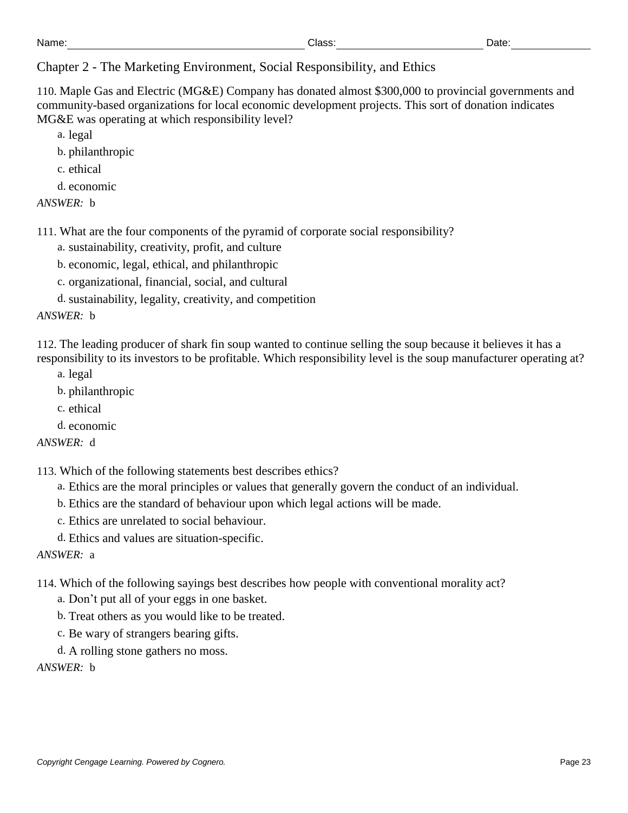| NĽ | . |  |
|----|---|--|
|    |   |  |

110. Maple Gas and Electric (MG&E) Company has donated almost \$300,000 to provincial governments and community-based organizations for local economic development projects. This sort of donation indicates MG&E was operating at which responsibility level?

a. legal

b. philanthropic

c. ethical

d. economic

*ANSWER:* b

111. What are the four components of the pyramid of corporate social responsibility?

a. sustainability, creativity, profit, and culture

b. economic, legal, ethical, and philanthropic

c. organizational, financial, social, and cultural

d. sustainability, legality, creativity, and competition

*ANSWER:* b

112. The leading producer of shark fin soup wanted to continue selling the soup because it believes it has a responsibility to its investors to be profitable. Which responsibility level is the soup manufacturer operating at?

a. legal

- b. philanthropic
- c. ethical

d. economic

## *ANSWER:* d

113. Which of the following statements best describes ethics?

a. Ethics are the moral principles or values that generally govern the conduct of an individual.

b. Ethics are the standard of behaviour upon which legal actions will be made.

c. Ethics are unrelated to social behaviour.

d. Ethics and values are situation-specific.

*ANSWER:* a

114. Which of the following sayings best describes how people with conventional morality act?

a. Don't put all of your eggs in one basket.

b. Treat others as you would like to be treated.

c. Be wary of strangers bearing gifts.

d. A rolling stone gathers no moss.

*ANSWER:* b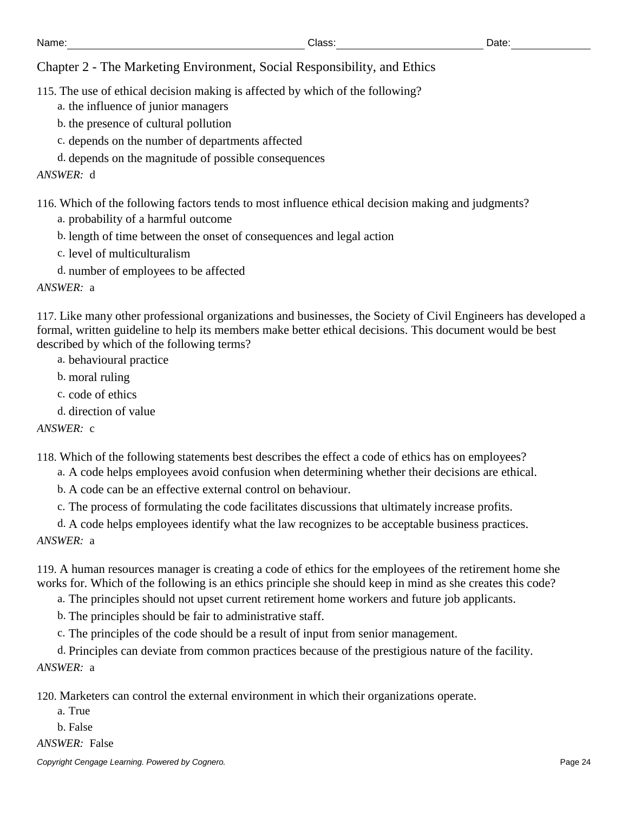115. The use of ethical decision making is affected by which of the following?

a. the influence of junior managers

b. the presence of cultural pollution

- c. depends on the number of departments affected
- d. depends on the magnitude of possible consequences

# *ANSWER:* d

116. Which of the following factors tends to most influence ethical decision making and judgments?

- a. probability of a harmful outcome
- b. length of time between the onset of consequences and legal action
- c. level of multiculturalism

d. number of employees to be affected

*ANSWER:* a

117. Like many other professional organizations and businesses, the Society of Civil Engineers has developed a formal, written guideline to help its members make better ethical decisions. This document would be best described by which of the following terms?

a. behavioural practice

b. moral ruling

- c. code of ethics
- d. direction of value

# *ANSWER:* c

118. Which of the following statements best describes the effect a code of ethics has on employees?

a. A code helps employees avoid confusion when determining whether their decisions are ethical.

b. A code can be an effective external control on behaviour.

c. The process of formulating the code facilitates discussions that ultimately increase profits.

d. A code helps employees identify what the law recognizes to be acceptable business practices. *ANSWER:* a

119. A human resources manager is creating a code of ethics for the employees of the retirement home she works for. Which of the following is an ethics principle she should keep in mind as she creates this code?

a. The principles should not upset current retirement home workers and future job applicants.

b. The principles should be fair to administrative staff.

c. The principles of the code should be a result of input from senior management.

d. Principles can deviate from common practices because of the prestigious nature of the facility. *ANSWER:* a

120. Marketers can control the external environment in which their organizations operate.

- a. True
- b. False

*ANSWER:* False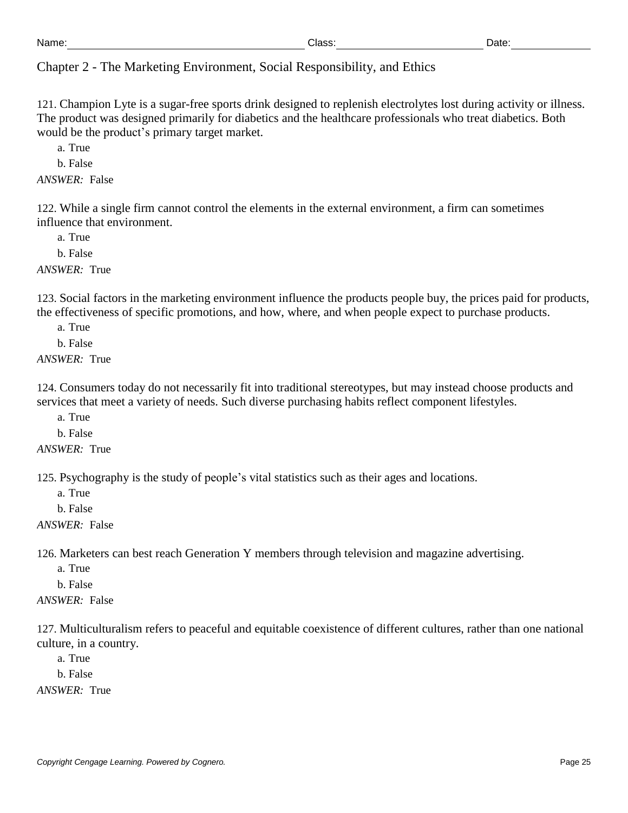121. Champion Lyte is a sugar-free sports drink designed to replenish electrolytes lost during activity or illness. The product was designed primarily for diabetics and the healthcare professionals who treat diabetics. Both would be the product's primary target market.

a. True

b. False

*ANSWER:* False

122. While a single firm cannot control the elements in the external environment, a firm can sometimes influence that environment.

a. True

b. False

*ANSWER:* True

123. Social factors in the marketing environment influence the products people buy, the prices paid for products, the effectiveness of specific promotions, and how, where, and when people expect to purchase products.

a. True

b. False

*ANSWER:* True

124. Consumers today do not necessarily fit into traditional stereotypes, but may instead choose products and services that meet a variety of needs. Such diverse purchasing habits reflect component lifestyles.

a. True

b. False

*ANSWER:* True

125. Psychography is the study of people's vital statistics such as their ages and locations.

a. True

b. False

*ANSWER:* False

126. Marketers can best reach Generation Y members through television and magazine advertising.

a. True

b. False

*ANSWER:* False

127. Multiculturalism refers to peaceful and equitable coexistence of different cultures, rather than one national culture, in a country.

a. True

b. False

*ANSWER:* True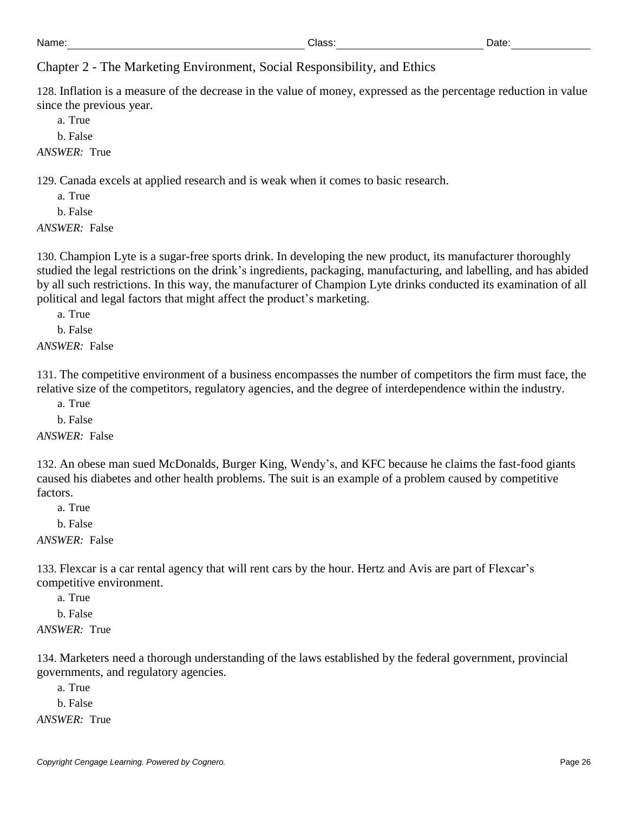128. Inflation is a measure of the decrease in the value of money, expressed as the percentage reduction in value since the previous year.

a. True

b. False

*ANSWER:* True

129. Canada excels at applied research and is weak when it comes to basic research.

a. True

b. False

*ANSWER:* False

130. Champion Lyte is a sugar-free sports drink. In developing the new product, its manufacturer thoroughly studied the legal restrictions on the drink's ingredients, packaging, manufacturing, and labelling, and has abided by all such restrictions. In this way, the manufacturer of Champion Lyte drinks conducted its examination of all political and legal factors that might affect the product's marketing.

a. True

b. False

*ANSWER:* False

131. The competitive environment of a business encompasses the number of competitors the firm must face, the relative size of the competitors, regulatory agencies, and the degree of interdependence within the industry.

a. True

b. False

*ANSWER:* False

132. An obese man sued McDonalds, Burger King, Wendy's, and KFC because he claims the fast-food giants caused his diabetes and other health problems. The suit is an example of a problem caused by competitive factors.

a. True

b. False

*ANSWER:* False

133. Flexcar is a car rental agency that will rent cars by the hour. Hertz and Avis are part of Flexcar's competitive environment.

a. True

b. False

*ANSWER:* True

134. Marketers need a thorough understanding of the laws established by the federal government, provincial governments, and regulatory agencies.

a. True

b. False

*ANSWER:* True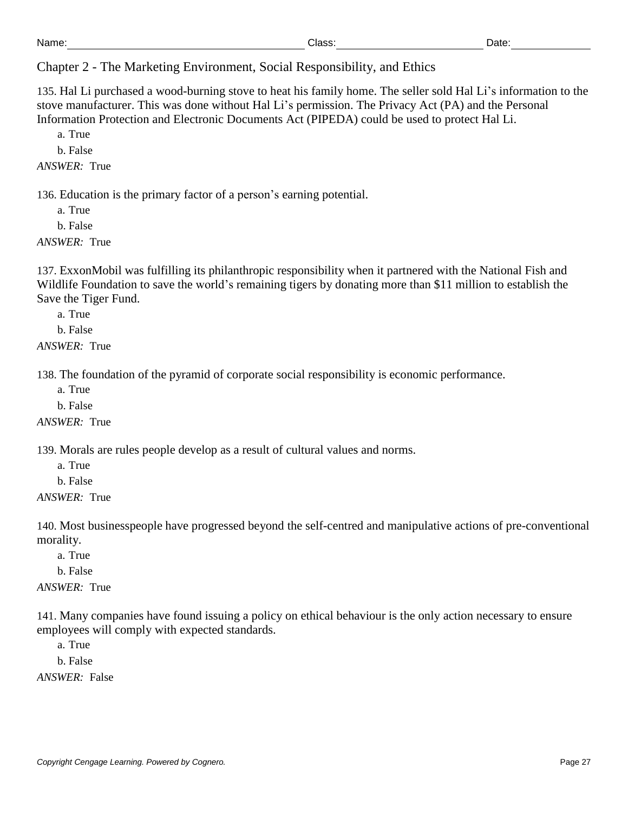135. Hal Li purchased a wood-burning stove to heat his family home. The seller sold Hal Li's information to the stove manufacturer. This was done without Hal Li's permission. The Privacy Act (PA) and the Personal Information Protection and Electronic Documents Act (PIPEDA) could be used to protect Hal Li.

a. True

b. False

*ANSWER:* True

136. Education is the primary factor of a person's earning potential.

a. True

b. False

*ANSWER:* True

137. ExxonMobil was fulfilling its philanthropic responsibility when it partnered with the National Fish and Wildlife Foundation to save the world's remaining tigers by donating more than \$11 million to establish the Save the Tiger Fund.

a. True

b. False

*ANSWER:* True

138. The foundation of the pyramid of corporate social responsibility is economic performance.

a. True

b. False

*ANSWER:* True

139. Morals are rules people develop as a result of cultural values and norms.

a. True

b. False

*ANSWER:* True

140. Most businesspeople have progressed beyond the self-centred and manipulative actions of pre-conventional morality.

a. True

b. False

*ANSWER:* True

141. Many companies have found issuing a policy on ethical behaviour is the only action necessary to ensure employees will comply with expected standards.

a. True

b. False

*ANSWER:* False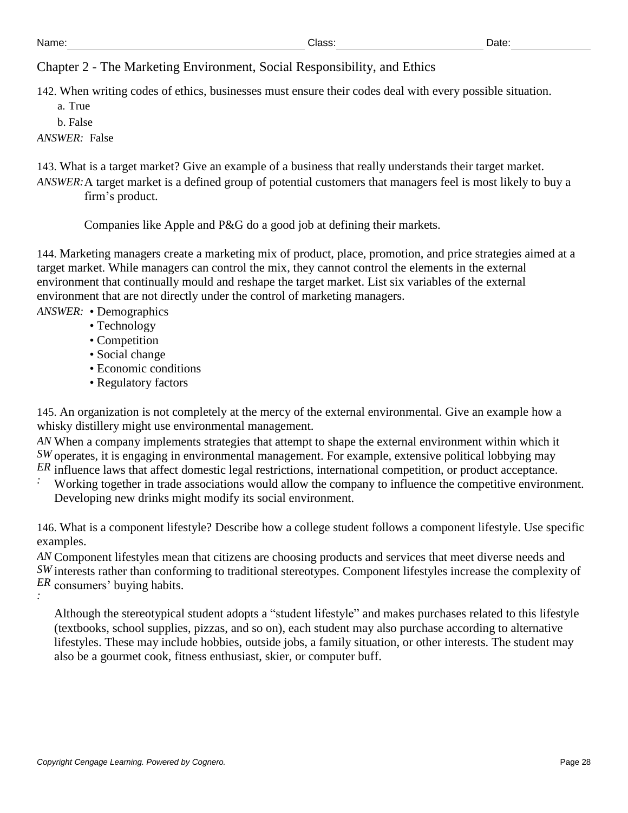142. When writing codes of ethics, businesses must ensure their codes deal with every possible situation.

a. True

b. False

*ANSWER:* False

143. What is a target market? Give an example of a business that really understands their target market.

*ANSWER:* A target market is a defined group of potential customers that managers feel is most likely to buy a firm's product.

Companies like Apple and P&G do a good job at defining their markets.

144. Marketing managers create a marketing mix of product, place, promotion, and price strategies aimed at a target market. While managers can control the mix, they cannot control the elements in the external environment that continually mould and reshape the target market. List six variables of the external environment that are not directly under the control of marketing managers.

*ANSWER:* • Demographics

- Technology
- Competition
- Social change
- Economic conditions
- Regulatory factors

145. An organization is not completely at the mercy of the external environmental. Give an example how a whisky distillery might use environmental management.

*AN* When a company implements strategies that attempt to shape the external environment within which it *SW* operates, it is engaging in environmental management. For example, extensive political lobbying may *ER* influence laws that affect domestic legal restrictions, international competition, or product acceptance.

*:*  Working together in trade associations would allow the company to influence the competitive environment. Developing new drinks might modify its social environment.

146. What is a component lifestyle? Describe how a college student follows a component lifestyle. Use specific examples.

*AN* Component lifestyles mean that citizens are choosing products and services that meet diverse needs and *SW* interests rather than conforming to traditional stereotypes. Component lifestyles increase the complexity of *ER* consumers' buying habits. *:* 

Although the stereotypical student adopts a "student lifestyle" and makes purchases related to this lifestyle (textbooks, school supplies, pizzas, and so on), each student may also purchase according to alternative lifestyles. These may include hobbies, outside jobs, a family situation, or other interests. The student may also be a gourmet cook, fitness enthusiast, skier, or computer buff.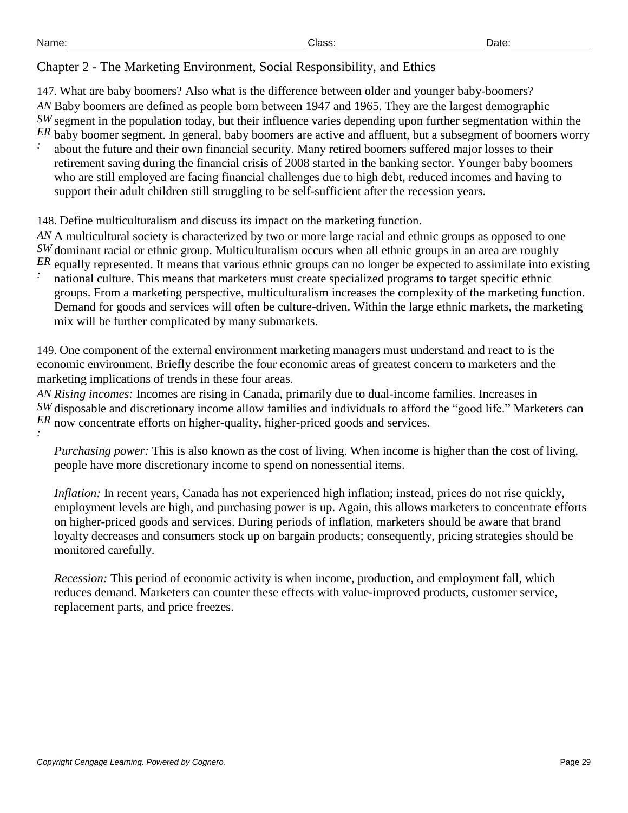147. What are baby boomers? Also what is the difference between older and younger baby-boomers?

*AN* Baby boomers are defined as people born between 1947 and 1965. They are the largest demographic *SW* segment in the population today, but their influence varies depending upon further segmentation within the *ER* baby boomer segment. In general, baby boomers are active and affluent, but a subsegment of boomers worry

*:*  about the future and their own financial security. Many retired boomers suffered major losses to their retirement saving during the financial crisis of 2008 started in the banking sector. Younger baby boomers who are still employed are facing financial challenges due to high debt, reduced incomes and having to support their adult children still struggling to be self-sufficient after the recession years.

148. Define multiculturalism and discuss its impact on the marketing function.

*AN* A multicultural society is characterized by two or more large racial and ethnic groups as opposed to one *SW* dominant racial or ethnic group. Multiculturalism occurs when all ethnic groups in an area are roughly *ER* equally represented. It means that various ethnic groups can no longer be expected to assimilate into existing

*:*  national culture. This means that marketers must create specialized programs to target specific ethnic groups. From a marketing perspective, multiculturalism increases the complexity of the marketing function. Demand for goods and services will often be culture-driven. Within the large ethnic markets, the marketing mix will be further complicated by many submarkets.

149. One component of the external environment marketing managers must understand and react to is the economic environment. Briefly describe the four economic areas of greatest concern to marketers and the marketing implications of trends in these four areas.

*AN Rising incomes:* Incomes are rising in Canada, primarily due to dual-income families. Increases in *SW* disposable and discretionary income allow families and individuals to afford the "good life." Marketers can *ER* now concentrate efforts on higher-quality, higher-priced goods and services. *:* 

*Purchasing power:* This is also known as the cost of living. When income is higher than the cost of living, people have more discretionary income to spend on nonessential items.

*Inflation:* In recent years, Canada has not experienced high inflation; instead, prices do not rise quickly, employment levels are high, and purchasing power is up. Again, this allows marketers to concentrate efforts on higher-priced goods and services. During periods of inflation, marketers should be aware that brand loyalty decreases and consumers stock up on bargain products; consequently, pricing strategies should be monitored carefully.

*Recession:* This period of economic activity is when income, production, and employment fall, which reduces demand. Marketers can counter these effects with value-improved products, customer service, replacement parts, and price freezes.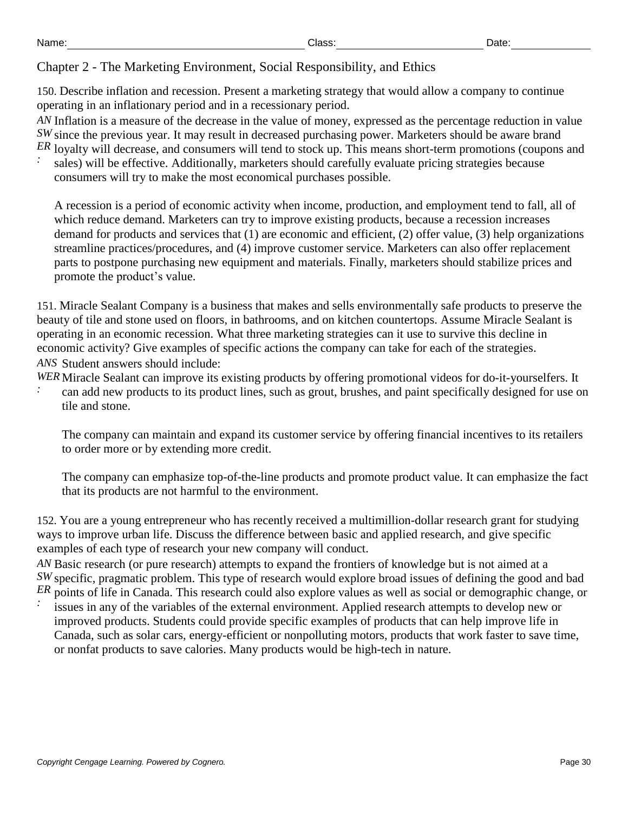150. Describe inflation and recession. Present a marketing strategy that would allow a company to continue operating in an inflationary period and in a recessionary period.

*AN* Inflation is a measure of the decrease in the value of money, expressed as the percentage reduction in value *SW* since the previous year. It may result in decreased purchasing power. Marketers should be aware brand

*ER* loyalty will decrease, and consumers will tend to stock up. This means short-term promotions (coupons and *:*  sales) will be effective. Additionally, marketers should carefully evaluate pricing strategies because consumers will try to make the most economical purchases possible.

A recession is a period of economic activity when income, production, and employment tend to fall, all of which reduce demand. Marketers can try to improve existing products, because a recession increases demand for products and services that (1) are economic and efficient, (2) offer value, (3) help organizations streamline practices/procedures, and (4) improve customer service. Marketers can also offer replacement parts to postpone purchasing new equipment and materials. Finally, marketers should stabilize prices and promote the product's value.

151. Miracle Sealant Company is a business that makes and sells environmentally safe products to preserve the beauty of tile and stone used on floors, in bathrooms, and on kitchen countertops. Assume Miracle Sealant is operating in an economic recession. What three marketing strategies can it use to survive this decline in economic activity? Give examples of specific actions the company can take for each of the strategies. *ANS* Student answers should include:

WER Miracle Sealant can improve its existing products by offering promotional videos for do-it-yourselfers. It

*:*  can add new products to its product lines, such as grout, brushes, and paint specifically designed for use on tile and stone.

The company can maintain and expand its customer service by offering financial incentives to its retailers to order more or by extending more credit.

The company can emphasize top-of-the-line products and promote product value. It can emphasize the fact that its products are not harmful to the environment.

152. You are a young entrepreneur who has recently received a multimillion-dollar research grant for studying ways to improve urban life. Discuss the difference between basic and applied research, and give specific examples of each type of research your new company will conduct.

*AN* Basic research (or pure research) attempts to expand the frontiers of knowledge but is not aimed at a *SW* specific, pragmatic problem. This type of research would explore broad issues of defining the good and bad *ER* points of life in Canada. This research could also explore values as well as social or demographic change, or

*:*  issues in any of the variables of the external environment. Applied research attempts to develop new or improved products. Students could provide specific examples of products that can help improve life in Canada, such as solar cars, energy-efficient or nonpolluting motors, products that work faster to save time, or nonfat products to save calories. Many products would be high-tech in nature.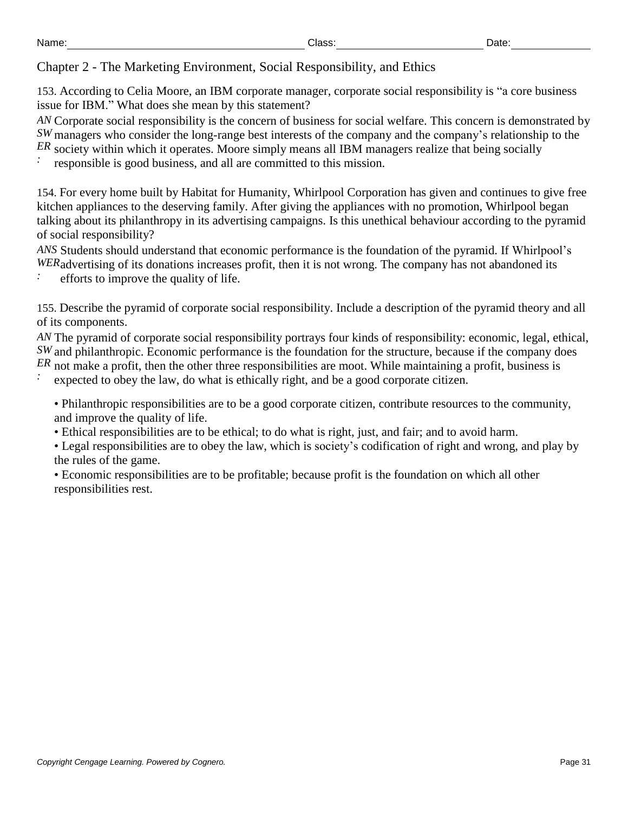153. According to Celia Moore, an IBM corporate manager, corporate social responsibility is "a core business issue for IBM." What does she mean by this statement?

*AN* Corporate social responsibility is the concern of business for social welfare. This concern is demonstrated by *SW* managers who consider the long-range best interests of the company and the company's relationship to the *ER* society within which it operates. Moore simply means all IBM managers realize that being socially

*:*  responsible is good business, and all are committed to this mission.

154. For every home built by Habitat for Humanity, Whirlpool Corporation has given and continues to give free kitchen appliances to the deserving family. After giving the appliances with no promotion, Whirlpool began talking about its philanthropy in its advertising campaigns. Is this unethical behaviour according to the pyramid of social responsibility?

*ANS* Students should understand that economic performance is the foundation of the pyramid. If Whirlpool's

*WER* advertising of its donations increases profit, then it is not wrong. The company has not abandoned its *:* 

efforts to improve the quality of life.

155. Describe the pyramid of corporate social responsibility. Include a description of the pyramid theory and all of its components.

*AN* The pyramid of corporate social responsibility portrays four kinds of responsibility: economic, legal, ethical, *SW* and philanthropic. Economic performance is the foundation for the structure, because if the company does *ER* not make a profit, then the other three responsibilities are moot. While maintaining a profit, business is *:* 

expected to obey the law, do what is ethically right, and be a good corporate citizen.

• Philanthropic responsibilities are to be a good corporate citizen, contribute resources to the community, and improve the quality of life.

• Ethical responsibilities are to be ethical; to do what is right, just, and fair; and to avoid harm.

• Legal responsibilities are to obey the law, which is society's codification of right and wrong, and play by the rules of the game.

• Economic responsibilities are to be profitable; because profit is the foundation on which all other responsibilities rest.